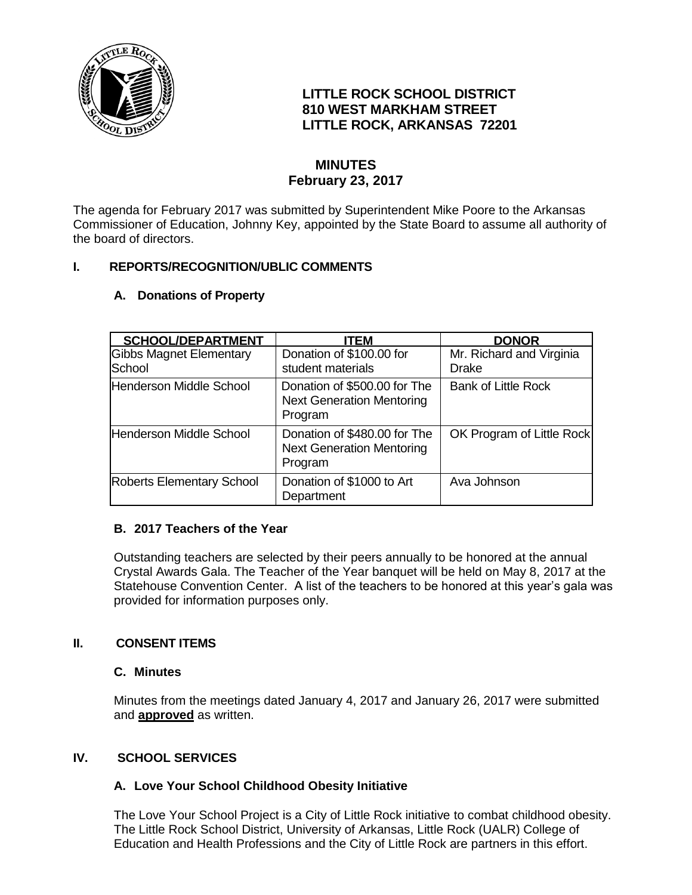

# **LITTLE ROCK SCHOOL DISTRICT 810 WEST MARKHAM STREET LITTLE ROCK, ARKANSAS 72201**

# **MINUTES February 23, 2017**

The agenda for February 2017 was submitted by Superintendent Mike Poore to the Arkansas Commissioner of Education, Johnny Key, appointed by the State Board to assume all authority of the board of directors.

## **I. REPORTS/RECOGNITION/UBLIC COMMENTS**

| <b>SCHOOL/DEPARTMENT</b>                 | ITEM                                                                        | <b>DONOR</b>                      |
|------------------------------------------|-----------------------------------------------------------------------------|-----------------------------------|
| <b>Gibbs Magnet Elementary</b><br>School | Donation of \$100.00 for<br>student materials                               | Mr. Richard and Virginia<br>Drake |
| Henderson Middle School                  | Donation of \$500.00 for The<br><b>Next Generation Mentoring</b><br>Program | <b>Bank of Little Rock</b>        |
| <b>Henderson Middle School</b>           | Donation of \$480.00 for The<br><b>Next Generation Mentoring</b><br>Program | OK Program of Little Rock         |
| <b>Roberts Elementary School</b>         | Donation of \$1000 to Art<br>Department                                     | Ava Johnson                       |

### **A. Donations of Property**

## **B. 2017 Teachers of the Year**

Outstanding teachers are selected by their peers annually to be honored at the annual Crystal Awards Gala. The Teacher of the Year banquet will be held on May 8, 2017 at the Statehouse Convention Center. A list of the teachers to be honored at this year's gala was provided for information purposes only.

## **II. CONSENT ITEMS**

## **C. Minutes**

Minutes from the meetings dated January 4, 2017 and January 26, 2017 were submitted and **approved** as written.

## **IV. SCHOOL SERVICES**

## **A. Love Your School Childhood Obesity Initiative**

The Love Your School Project is a City of Little Rock initiative to combat childhood obesity. The Little Rock School District, University of Arkansas, Little Rock (UALR) College of Education and Health Professions and the City of Little Rock are partners in this effort.